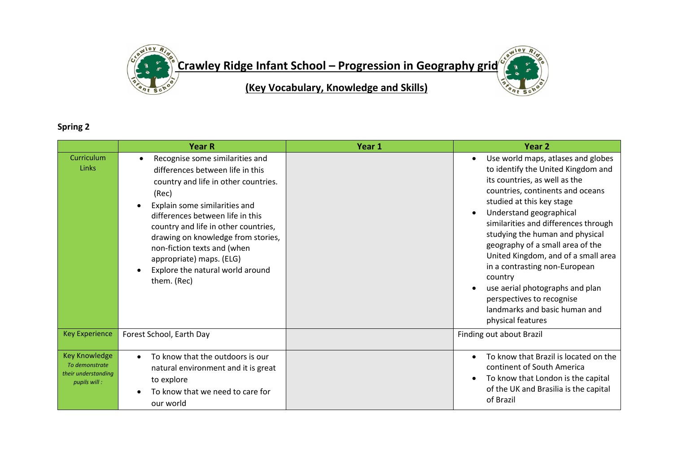

## **Spring 2**

|                                                                               | <b>Year R</b>                                                                                                                                                                                                                                                                                                                                                                         | Year 1 | Year <sub>2</sub>                                                                                                                                                                                                                                                                                                                                                                                                                                                                                                             |
|-------------------------------------------------------------------------------|---------------------------------------------------------------------------------------------------------------------------------------------------------------------------------------------------------------------------------------------------------------------------------------------------------------------------------------------------------------------------------------|--------|-------------------------------------------------------------------------------------------------------------------------------------------------------------------------------------------------------------------------------------------------------------------------------------------------------------------------------------------------------------------------------------------------------------------------------------------------------------------------------------------------------------------------------|
| Curriculum<br>Links                                                           | Recognise some similarities and<br>differences between life in this<br>country and life in other countries.<br>(Rec)<br>Explain some similarities and<br>differences between life in this<br>country and life in other countries,<br>drawing on knowledge from stories,<br>non-fiction texts and (when<br>appropriate) maps. (ELG)<br>Explore the natural world around<br>them. (Rec) |        | Use world maps, atlases and globes<br>to identify the United Kingdom and<br>its countries, as well as the<br>countries, continents and oceans<br>studied at this key stage<br>Understand geographical<br>similarities and differences through<br>studying the human and physical<br>geography of a small area of the<br>United Kingdom, and of a small area<br>in a contrasting non-European<br>country<br>use aerial photographs and plan<br>perspectives to recognise<br>landmarks and basic human and<br>physical features |
| <b>Key Experience</b>                                                         | Forest School, Earth Day                                                                                                                                                                                                                                                                                                                                                              |        | Finding out about Brazil                                                                                                                                                                                                                                                                                                                                                                                                                                                                                                      |
| <b>Key Knowledge</b><br>To demonstrate<br>their understanding<br>pupils will: | To know that the outdoors is our<br>$\bullet$<br>natural environment and it is great<br>to explore<br>To know that we need to care for<br>our world                                                                                                                                                                                                                                   |        | To know that Brazil is located on the<br>continent of South America<br>To know that London is the capital<br>of the UK and Brasilia is the capital<br>of Brazil                                                                                                                                                                                                                                                                                                                                                               |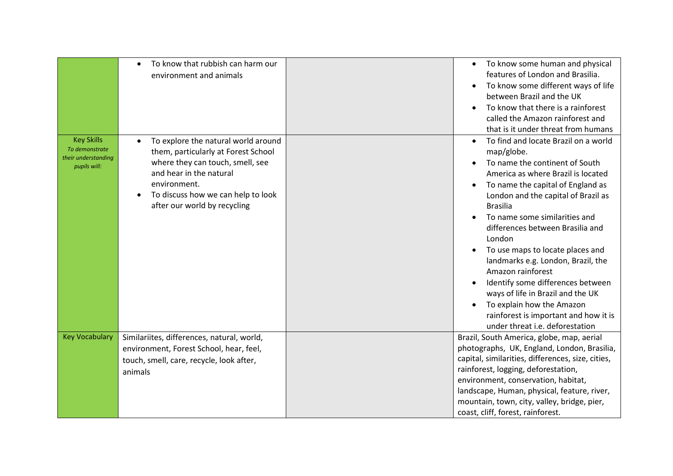|                                                                            | To know that rubbish can harm our<br>$\bullet$<br>environment and animals                                                                                                                                                                                 | To know some human and physical<br>features of London and Brasilia.<br>To know some different ways of life<br>between Brazil and the UK<br>To know that there is a rainforest<br>called the Amazon rainforest and<br>that is it under threat from humans                                                                                                                                                                                                                                                                                                                                   |
|----------------------------------------------------------------------------|-----------------------------------------------------------------------------------------------------------------------------------------------------------------------------------------------------------------------------------------------------------|--------------------------------------------------------------------------------------------------------------------------------------------------------------------------------------------------------------------------------------------------------------------------------------------------------------------------------------------------------------------------------------------------------------------------------------------------------------------------------------------------------------------------------------------------------------------------------------------|
| <b>Key Skills</b><br>To demonstrate<br>their understanding<br>pupils will: | To explore the natural world around<br>$\bullet$<br>them, particularly at Forest School<br>where they can touch, smell, see<br>and hear in the natural<br>environment.<br>To discuss how we can help to look<br>$\bullet$<br>after our world by recycling | To find and locate Brazil on a world<br>map/globe.<br>To name the continent of South<br>America as where Brazil is located<br>To name the capital of England as<br>London and the capital of Brazil as<br><b>Brasilia</b><br>To name some similarities and<br>differences between Brasilia and<br>London<br>To use maps to locate places and<br>landmarks e.g. London, Brazil, the<br>Amazon rainforest<br>Identify some differences between<br>ways of life in Brazil and the UK<br>To explain how the Amazon<br>rainforest is important and how it is<br>under threat i.e. deforestation |
| <b>Key Vocabulary</b>                                                      | Similariites, differences, natural, world,<br>environment, Forest School, hear, feel,<br>touch, smell, care, recycle, look after,<br>animals                                                                                                              | Brazil, South America, globe, map, aerial<br>photographs, UK, England, London, Brasilia,<br>capital, similarities, differences, size, cities,<br>rainforest, logging, deforestation,<br>environment, conservation, habitat,<br>landscape, Human, physical, feature, river,<br>mountain, town, city, valley, bridge, pier,<br>coast, cliff, forest, rainforest.                                                                                                                                                                                                                             |